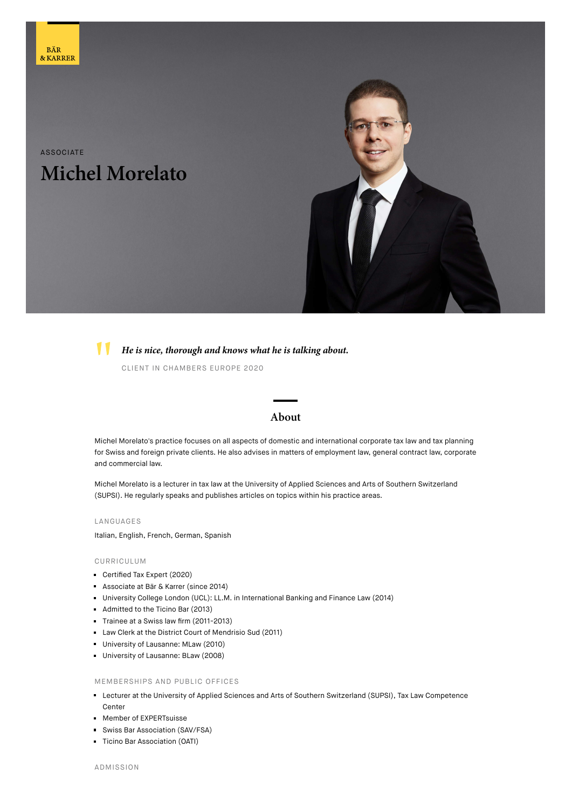# ASSOCIATE **Michel Morelato**





**He is nice, thorough and knows what he is talking about.** CLIENT IN CHAMBERS EUROPE 2020

## **About**

Michel Morelato's practice focuses on all aspects of domestic and international corporate tax law and tax planning for Swiss and foreign private clients. He also advises in matters of employment law, general contract law, corporate and commercial law.

Michel Morelato is a lecturer in tax law at the University of Applied Sciences and Arts of Southern Switzerland (SUPSI). He regularly speaks and publishes articles on topics within his practice areas.

#### LANGUAGES

Italian, English, French, German, Spanish

#### CURRICULUM

- Certified Tax Expert (2020)
- Associate at Bär & Karrer (since 2014)
- University College London (UCL): LL.M. in International Banking and Finance Law (2014)
- Admitted to the Ticino Bar (2013)
- Trainee at a Swiss law firm (2011-2013)
- Law Clerk at the District Court of Mendrisio Sud (2011)
- University of Lausanne: MLaw (2010)
- **University of Lausanne: BLaw (2008)**

#### MEMBERSHIPS AND PUBLIC OFFICES

- Lecturer at the University of Applied Sciences and Arts of Southern Switzerland (SUPSI), Tax Law Competence Center
- **Member of EXPERTsuisse**
- Swiss Bar Association (SAV/FSA)
- **Ticino Bar Association (OATI)**